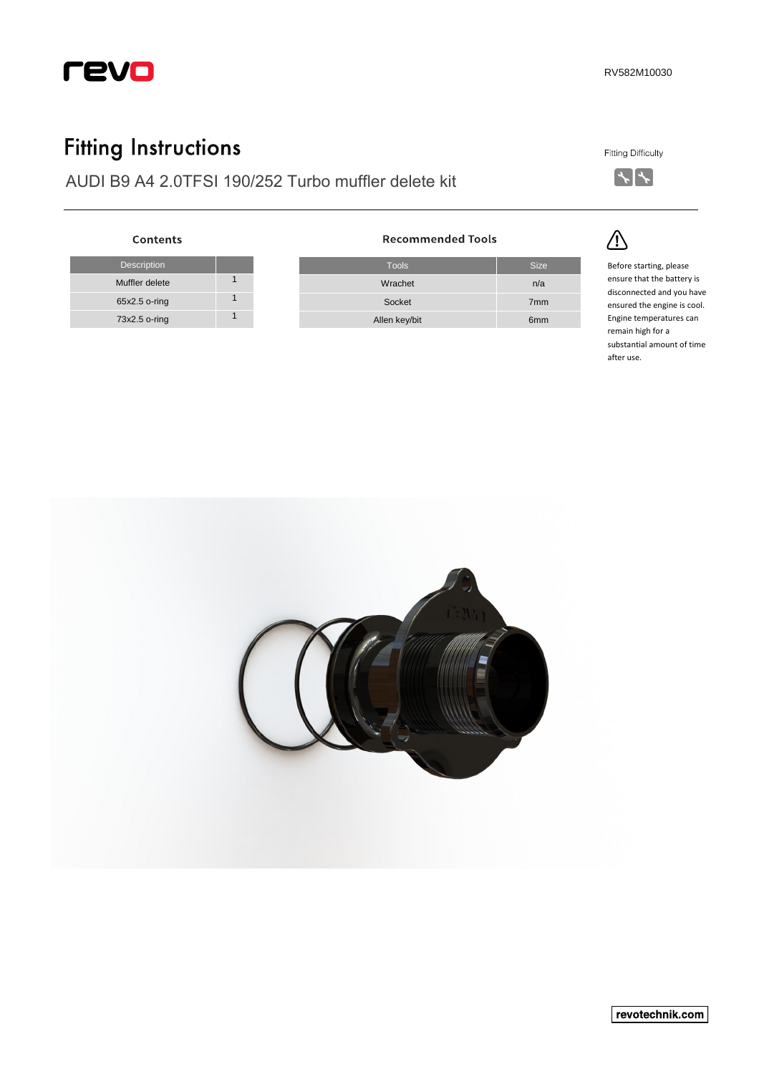

## **Fitting Instructions**

Description

Contents

Muffler delete 1 65x2.5 o-ring 1 73x2.5 o-ring 1

AUDI B9 A4 2.0TFSI 190/252 Turbo muffler delete kit

| <b>Fitting Difficulty</b> |
|---------------------------|
|                           |



<u>/</u>

Tools Size Wrachet n/a Socket 7mm Allen key/bit 6mm

**Recommended Tools** 

Before starting, please ensure that the battery is disconnected and you have ensured the engine is cool. Engine temperatures can remain high for a substantial amount of time after use.



revotechnik.com